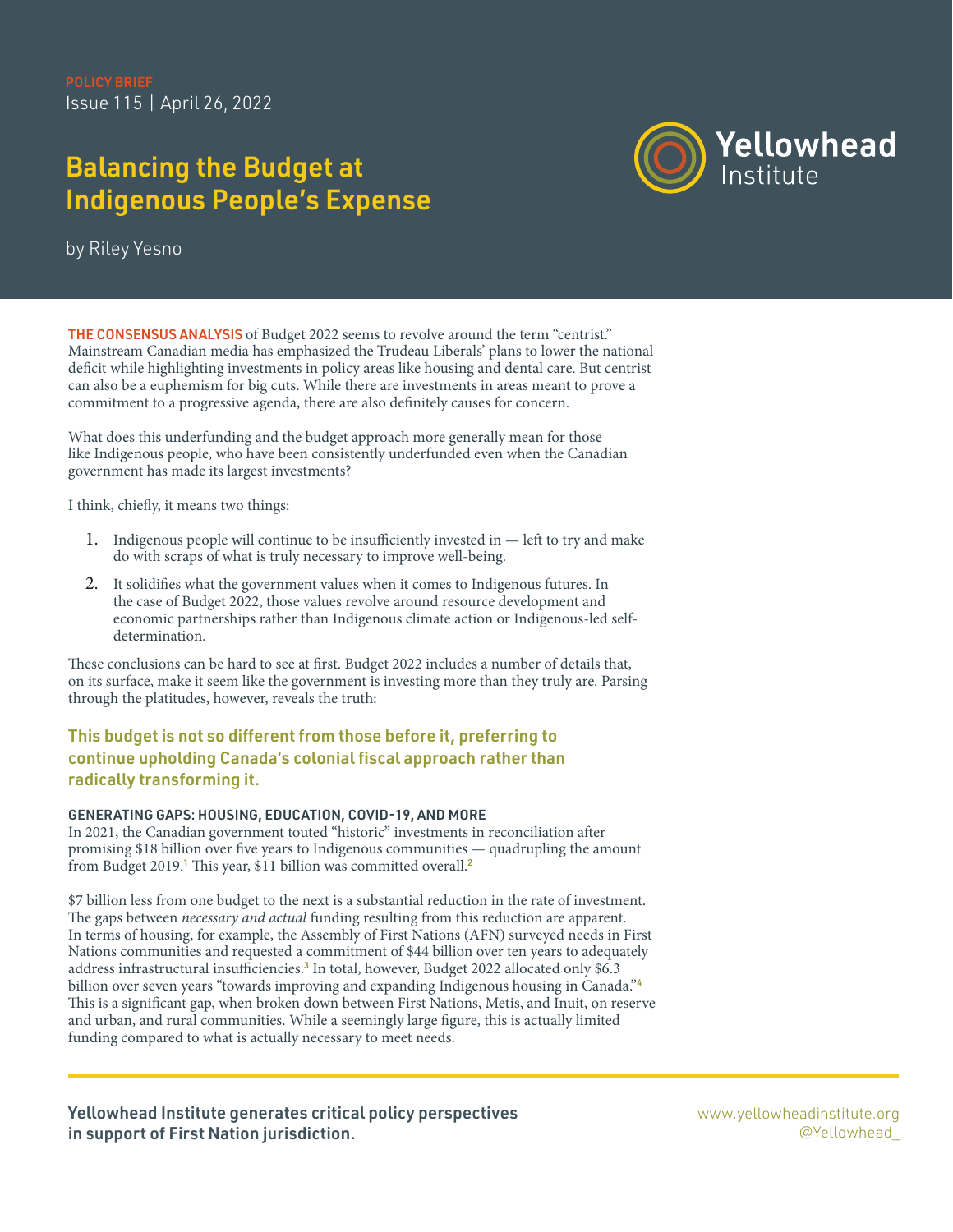Issue 115 | April 26, 2022

# Balancing the Budget at Indigenous People's Expense



by Riley Yesno

THE CONSENSUS ANALYSIS of Budget 2022 seems to revolve around the term "centrist." Mainstream Canadian media has emphasized the Trudeau Liberals' plans to lower the national deficit while highlighting investments in policy areas like housing and dental care. But centrist can also be a euphemism for big cuts. While there are investments in areas meant to prove a commitment to a progressive agenda, there are also definitely causes for concern.

What does this underfunding and the budget approach more generally mean for those like Indigenous people, who have been consistently underfunded even when the Canadian government has made its largest investments?

I think, chiefly, it means two things:

- 1. Indigenous people will continue to be insufficiently invested in left to try and make do with scraps of what is truly necessary to improve well-being.
- 2. It solidifies what the government values when it comes to Indigenous futures. In the case of Budget 2022, those values revolve around resource development and economic partnerships rather than Indigenous climate action or Indigenous-led selfdetermination.

These conclusions can be hard to see at first. Budget 2022 includes a number of details that, on its surface, make it seem like the government is investing more than they truly are. Parsing through the platitudes, however, reveals the truth:

# This budget is not so different from those before it, preferring to continue upholding Canada's colonial fiscal approach rather than radically transforming it.

## GENERATING GAPS: HOUSING, EDUCATION, COVID-19, AND MORE

In 2021, the Canadian government touted "historic" investments in reconciliation after promising \$18 billion over five years to Indigenous communities — quadrupling the amount from Budget 2019.<sup>1</sup> This year, \$11 billion was committed overall.<sup>2</sup>

\$7 billion less from one budget to the next is a substantial reduction in the rate of investment. The gaps between necessary and actual funding resulting from this reduction are apparent. In terms of housing, for example, the Assembly of First Nations (AFN) surveyed needs in First Nations communities and requested a commitment of \$44 billion over ten years to adequately address infrastructural insufficiencies.<sup>3</sup> In total, however, Budget 2022 allocated only \$6.3 billion over seven years "towards improving and expanding Indigenous housing in Canada."<sup>4</sup> This is a significant gap, when broken down between First Nations, Metis, and Inuit, on reserve and urban, and rural communities. While a seemingly large figure, this is actually limited funding compared to what is actually necessary to meet needs.

Yellowhead Institute generates critical policy perspectives in support of First Nation jurisdiction.

[www.yellowheadinstitute.org](https://www.theglobeandmail.com/opinion/article-the-mmiwg-inquiry-cannot-be-allowed-to-fail/) @Yellowhead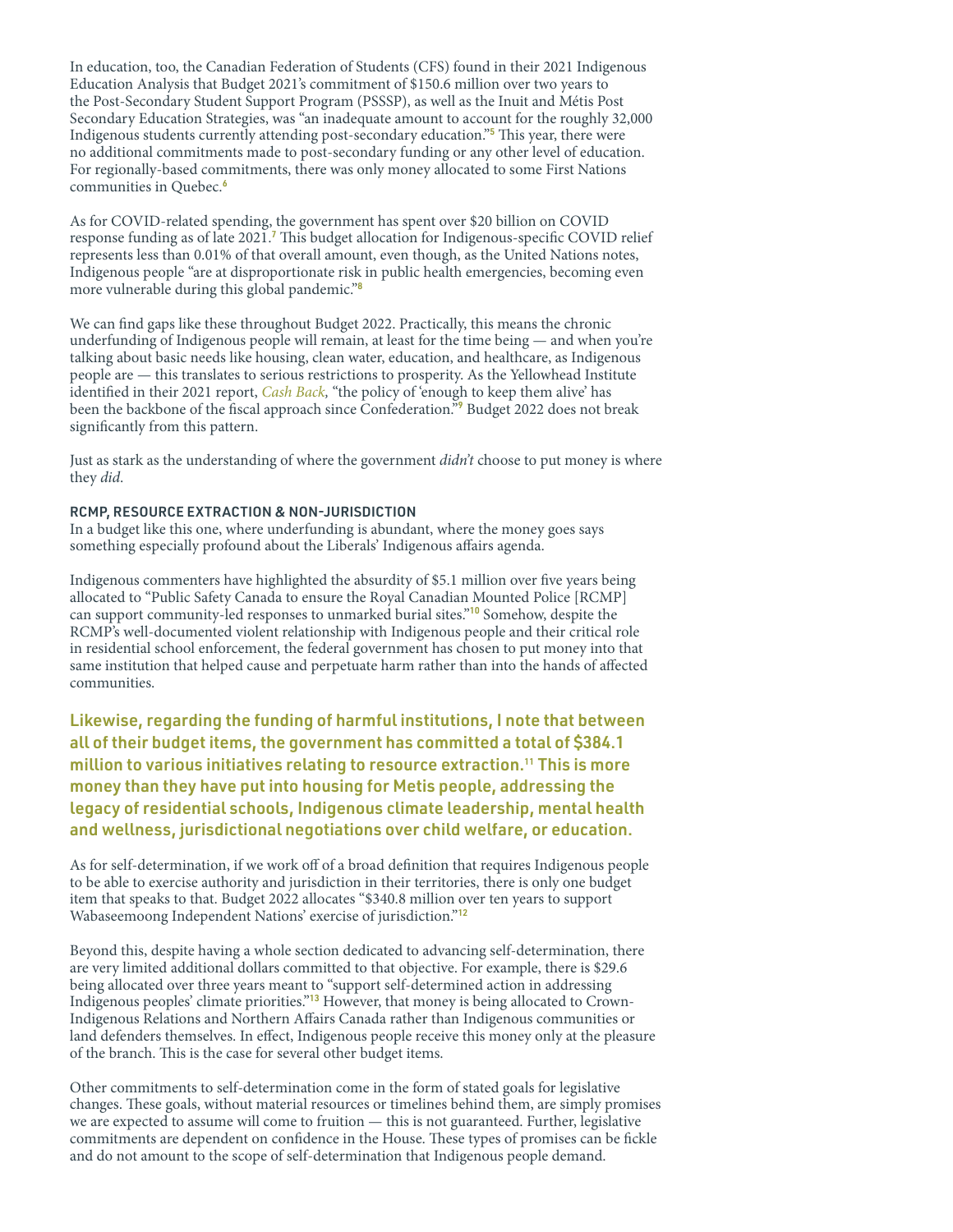In education, too, the Canadian Federation of Students (CFS) found in their 2021 Indigenous Education Analysis that Budget 2021's commitment of \$150.6 million over two years to the Post-Secondary Student Support Program (PSSSP), as well as the Inuit and Métis Post Secondary Education Strategies, was "an inadequate amount to account for the roughly 32,000 Indigenous students currently attending post-secondary education."<sup>5</sup> This year, there were no additional commitments made to post-secondary funding or any other level of education. For regionally-based commitments, there was only money allocated to some First Nations communities in Quebec.<sup>6</sup>

As for COVID-related spending, the government has spent over \$20 billion on COVID response funding as of late 2021.<sup>7</sup> This budget allocation for Indigenous-specific COVID relief represents less than 0.01% of that overall amount, even though, as the United Nations notes, Indigenous people "are at disproportionate risk in public health emergencies, becoming even more vulnerable during this global pandemic."<sup>8</sup>

We can find gaps like these throughout Budget 2022. Practically, this means the chronic underfunding of Indigenous people will remain, at least for the time being — and when you're talking about basic needs like housing, clean water, education, and healthcare, as Indigenous people are — this translates to serious restrictions to prosperity. As the Yellowhead Institute identified in their 2021 report, [Cash Back](http://cashback.yellowheadinstitute.org), "the policy of 'enough to keep them alive' has been the backbone of the fiscal approach since Confederation."<sup>9</sup> Budget 2022 does not break significantly from this pattern.

Just as stark as the understanding of where the government  $d/dn't$  choose to put money is where they did.

### RCMP, RESOURCE EXTRACTION & NON-JURISDICTION

In a budget like this one, where underfunding is abundant, where the money goes says something especially profound about the Liberals' Indigenous affairs agenda.

Indigenous commenters have highlighted the absurdity of \$5.1 million over five years being allocated to "Public Safety Canada to ensure the Royal Canadian Mounted Police [RCMP] can support community-led responses to unmarked burial sites."<sup>10</sup> Somehow, despite the RCMP's well-documented violent relationship with Indigenous people and their critical role in residential school enforcement, the federal government has chosen to put money into that same institution that helped cause and perpetuate harm rather than into the hands of affected communities.

Likewise, regarding the funding of harmful institutions, I note that between all of their budget items, the government has committed a total of \$384.1 million to various initiatives relating to resource extraction.11 This is more money than they have put into housing for Metis people, addressing the legacy of residential schools, Indigenous climate leadership, mental health and wellness, jurisdictional negotiations over child welfare, or education.

As for self-determination, if we work off of a broad definition that requires Indigenous people to be able to exercise authority and jurisdiction in their territories, there is only one budget item that speaks to that. Budget 2022 allocates "\$340.8 million over ten years to support Wabaseemoong Independent Nations' exercise of jurisdiction."<sup>12</sup>

Beyond this, despite having a whole section dedicated to advancing self-determination, there are very limited additional dollars committed to that objective. For example, there is \$29.6 being allocated over three years meant to "support self-determined action in addressing Indigenous peoples' climate priorities."<sup>13</sup> However, that money is being allocated to Crown-Indigenous Relations and Northern Affairs Canada rather than Indigenous communities or land defenders themselves. In effect, Indigenous people receive this money only at the pleasure of the branch. This is the case for several other budget items.

Other commitments to self-determination come in the form of stated goals for legislative changes. These goals, without material resources or timelines behind them, are simply promises we are expected to assume will come to fruition — this is not guaranteed. Further, legislative commitments are dependent on confidence in the House. These types of promises can be fickle and do not amount to the scope of self-determination that Indigenous people demand.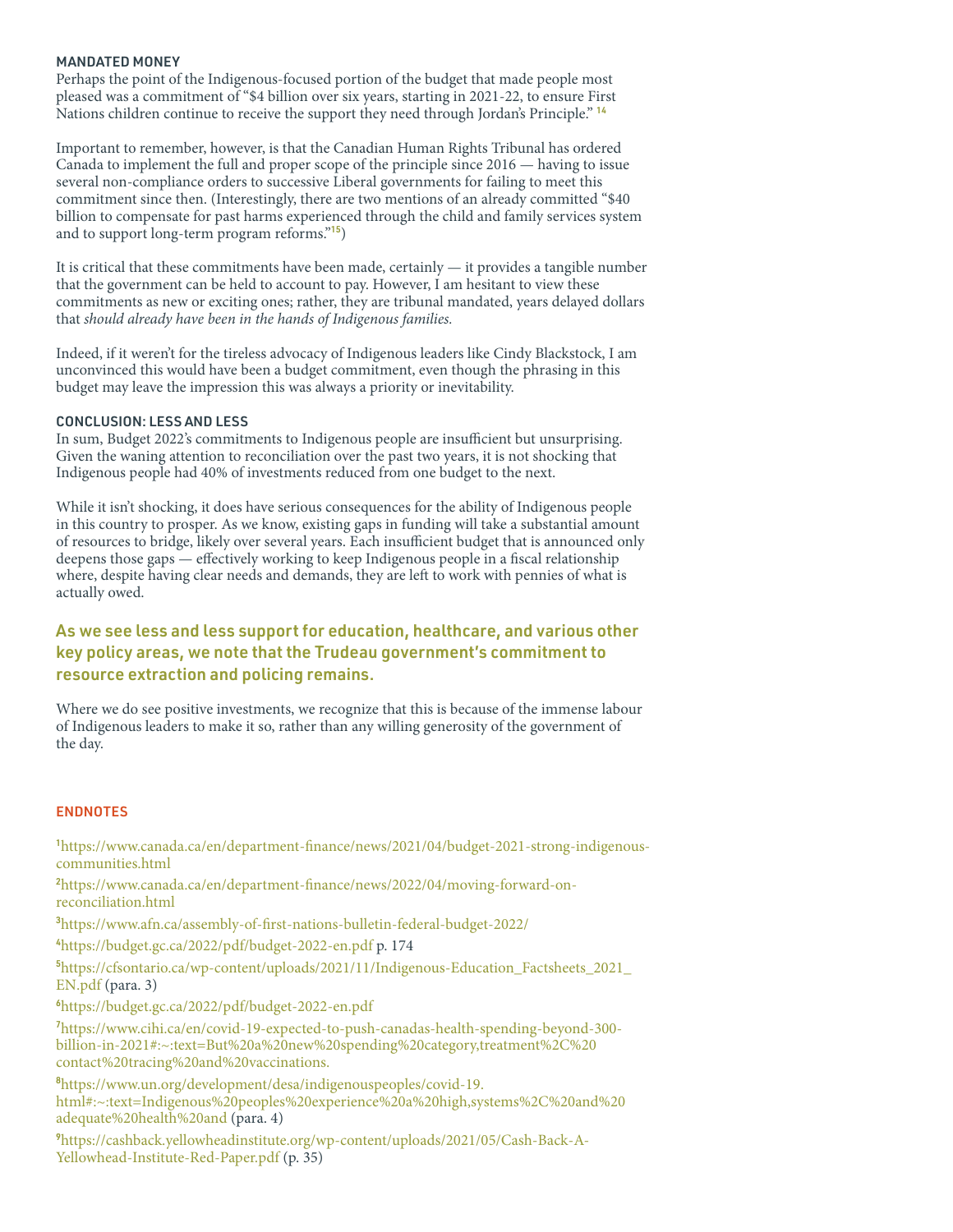#### MANDATED MONEY

Perhaps the point of the Indigenous-focused portion of the budget that made people most pleased was a commitment of "\$4 billion over six years, starting in 2021-22, to ensure First Nations children continue to receive the support they need through Jordan's Principle." <sup>14</sup>

Important to remember, however, is that the Canadian Human Rights Tribunal has ordered Canada to implement the full and proper scope of the principle since 2016 — having to issue several non-compliance orders to successive Liberal governments for failing to meet this commitment since then. (Interestingly, there are two mentions of an already committed "\$40 billion to compensate for past harms experienced through the child and family services system and to support long-term program reforms."<sup>15</sup>)

It is critical that these commitments have been made, certainly — it provides a tangible number that the government can be held to account to pay. However, I am hesitant to view these commitments as new or exciting ones; rather, they are tribunal mandated, years delayed dollars that should already have been in the hands of Indigenous families.

Indeed, if it weren't for the tireless advocacy of Indigenous leaders like Cindy Blackstock, I am unconvinced this would have been a budget commitment, even though the phrasing in this budget may leave the impression this was always a priority or inevitability.

#### CONCLUSION: LESS AND LESS

In sum, Budget 2022's commitments to Indigenous people are insufficient but unsurprising. Given the waning attention to reconciliation over the past two years, it is not shocking that Indigenous people had 40% of investments reduced from one budget to the next.

While it isn't shocking, it does have serious consequences for the ability of Indigenous people in this country to prosper. As we know, existing gaps in funding will take a substantial amount of resources to bridge, likely over several years. Each insufficient budget that is announced only deepens those gaps — effectively working to keep Indigenous people in a fiscal relationship where, despite having clear needs and demands, they are left to work with pennies of what is actually owed.

# As we see less and less support for education, healthcare, and various other key policy areas, we note that the Trudeau government's commitment to resource extraction and policing remains.

Where we do see positive investments, we recognize that this is because of the immense labour of Indigenous leaders to make it so, rather than any willing generosity of the government of the day.

## ENDNOTES

1[https://www.canada.ca/en/department-finance/news/2021/04/budget-2021-strong-indigenous](https://www.canada.ca/en/department-finance/news/2021/04/budget-2021-strong-indigenous-communities.html )[communities.html](https://www.canada.ca/en/department-finance/news/2021/04/budget-2021-strong-indigenous-communities.html ) 

2[https://www.canada.ca/en/department-finance/news/2022/04/moving-forward-on](https://www.canada.ca/en/department-finance/news/2022/04/moving-forward-on-reconciliation.html)[reconciliation.html](https://www.canada.ca/en/department-finance/news/2022/04/moving-forward-on-reconciliation.html)

<sup>3</sup>[https://www.afn.ca/assembly-of-first-nations-bulletin-federal-budget-2022/](https://www.afn.ca/assembly-of-first-nations-bulletin-federal-budget-2022/ ) 

<sup>4</sup><https://budget.gc.ca/2022/pdf/budget-2022-en.pdf>p. 174

<sup>5</sup>[https://cfsontario.ca/wp-content/uploads/2021/11/Indigenous-Education\\_Factsheets\\_2021\\_](https://cfsontario.ca/wp-content/uploads/2021/11/Indigenous-Education_Factsheets_2021_EN.pdf) [EN.pdf](https://cfsontario.ca/wp-content/uploads/2021/11/Indigenous-Education_Factsheets_2021_EN.pdf) (para. 3)

<sup>6</sup>[https://budget.gc.ca/2022/pdf/budget-2022-en.pdf](https://budget.gc.ca/2022/pdf/budget-2022-en.pdf ) 

<sup>7</sup>[https://www.cihi.ca/en/covid-19-expected-to-push-canadas-health-spending-beyond-300](https://www.cihi.ca/en/covid-19-expected-to-push-canadas-health-spending-beyond-300-billion-in-2021#:~:text=But%20a%20new%20spending%20category,treatment%2C%20contact%20tracing%20and%20vaccinations. ) [billion-in-2021#:~:text=But%20a%20new%20spending%20category,treatment%2C%20](https://www.cihi.ca/en/covid-19-expected-to-push-canadas-health-spending-beyond-300-billion-in-2021#:~:text=But%20a%20new%20spending%20category,treatment%2C%20contact%20tracing%20and%20vaccinations. ) [contact%20tracing%20and%20vaccinations.](https://www.cihi.ca/en/covid-19-expected-to-push-canadas-health-spending-beyond-300-billion-in-2021#:~:text=But%20a%20new%20spending%20category,treatment%2C%20contact%20tracing%20and%20vaccinations. ) 

<sup>8</sup>[https://www.un.org/development/desa/indigenouspeoples/covid-19.](https://www.un.org/development/desa/indigenouspeoples/covid-19.html#:~:text=Indigenous%20peoples%20experience%20a%20high,systems%2C%20and%20adequate%20health%20and) [html#:~:text=Indigenous%20peoples%20experience%20a%20high,systems%2C%20and%20](https://www.un.org/development/desa/indigenouspeoples/covid-19.html#:~:text=Indigenous%20peoples%20experience%20a%20high,systems%2C%20and%20adequate%20health%20and) [adequate%20health%20and](https://www.un.org/development/desa/indigenouspeoples/covid-19.html#:~:text=Indigenous%20peoples%20experience%20a%20high,systems%2C%20and%20adequate%20health%20and) (para. 4)

9[https://cashback.yellowheadinstitute.org/wp-content/uploads/2021/05/Cash-Back-A-](https://cashback.yellowheadinstitute.org/wp-content/uploads/2021/05/Cash-Back-A-Yellowhead-Institute-Red-Paper.pdf)[Yellowhead-Institute-Red-Paper.pdf](https://cashback.yellowheadinstitute.org/wp-content/uploads/2021/05/Cash-Back-A-Yellowhead-Institute-Red-Paper.pdf) (p. 35)